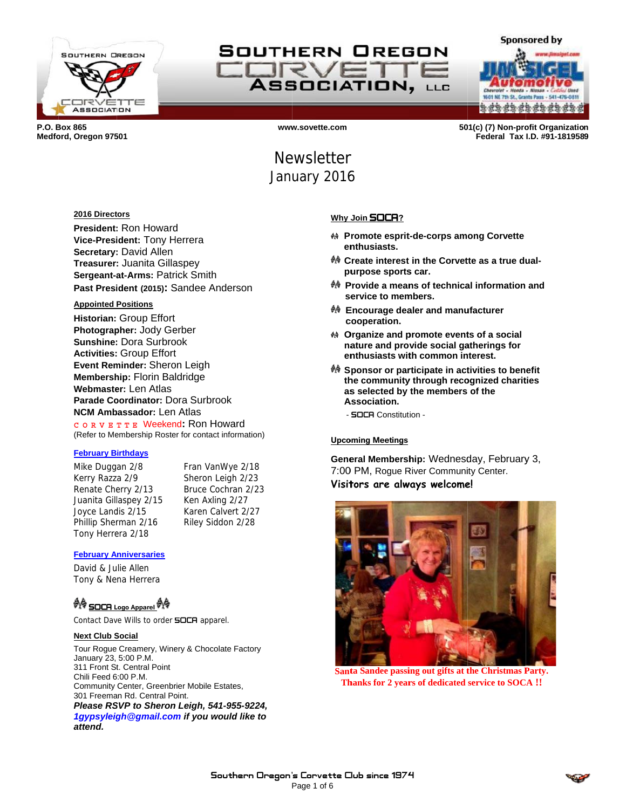

SOUTHERN OREGON **CORV ASSOCIATION, LLC** 



P.O. Box 865 Medford, Oregon 97501

www.sovette.com

501(c) (7) Non-profit Organization Federal Tax I.D. #91-1819589

# **Newsletter** January 2016

### 2016 Directors

President: Ron Howard Vice-President: Tony Herrera Secretary: David Allen Treasurer: Juanita Gillaspey Sergeant-at-Arms: Patrick Smith Past President (2015): Sandee Anderson

#### **Appointed Positions**

Historian: Group Effort Photographer: Jody Gerber **Sunshine: Dora Surbrook Activities: Group Effort** Event Reminder: Sheron Leigh **Membership: Florin Baldridge** Webmaster: Len Atlas Parade Coordinator: Dora Surbrook **NCM Ambassador: Len Atlas** CORVETTE Weekend: Ron Howard (Refer to Membership Roster for contact information)

#### **February Birthdays**

Mike Duggan 2/8 Kerry Razza 2/9 Renate Cherry 2/13 Juanita Gillaspey 2/15 Joyce Landis 2/15 Phillip Sherman 2/16 Tony Herrera 2/18

Fran VanWye 2/18 Sheron Leigh 2/23 Bruce Cochran 2/23 Ken Axling 2/27 Karen Calvert 2/27 Riley Siddon 2/28

#### **February Anniversaries**

David & Julie Allen Tony & Nena Herrera

## <sup>���</sup> SOCR Logo Apparel <sup>���</sup>

Contact Dave Wills to order **SOCA** apparel.

### **Next Club Social**

Tour Rogue Creamery, Winery & Chocolate Factory January 23, 5:00 P.M. 311 Front St. Central Point Chili Feed 6:00 P.M. Community Center, Greenbrier Mobile Estates, 301 Freeman Rd. Central Point. Please RSVP to Sheron Leigh, 541-955-9224, 1gypsyleigh@gmail.com if you would like to attend.

## Why Join **SOCA**?

- <sup>44</sup> Promote esprit-de-corps among Corvette enthusiasts.
- ♦ Create interest in the Corvette as a true dualpurpose sports car.
- ☆ Provide a means of technical information and service to members.
- <sup>₩</sup> Encourage dealer and manufacturer cooperation.
- ♦ Organize and promote events of a social nature and provide social gatherings for enthusiasts with common interest.
- ☆ Sponsor or participate in activities to benefit the community through recognized charities as selected by the members of the Association.
	- SOCR Constitution -

### **Upcoming Meetings**

General Membership: Wednesday, February 3, 7:00 PM, Rogue River Community Center. Visitors are always welcome!



Santa Sandee passing out gifts at the Christmas Party. **Thanks for 2 years of dedicated service to SOCA!!**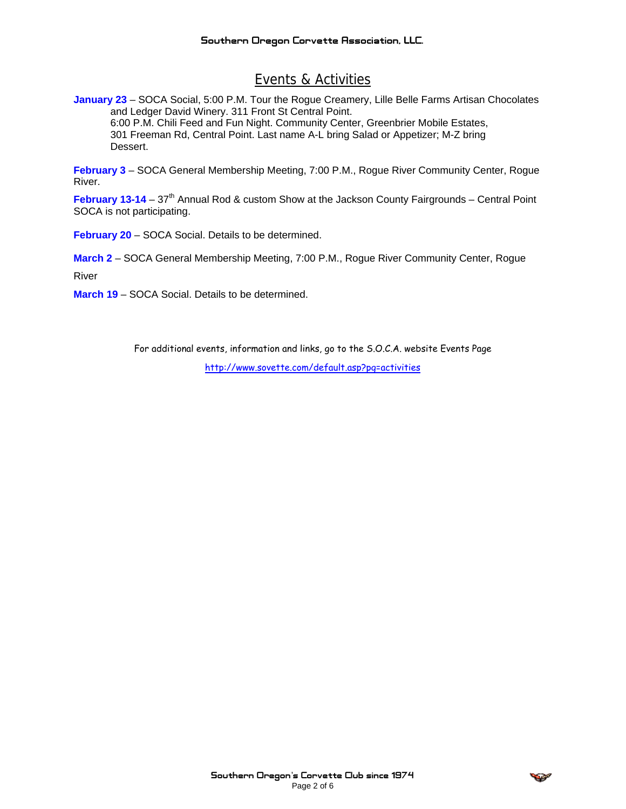## Events & Activities

**January 23** – SOCA Social, 5:00 P.M. Tour the Rogue Creamery, Lille Belle Farms Artisan Chocolates and Ledger David Winery. 311 Front St Central Point. 6:00 P.M. Chili Feed and Fun Night. Community Center, Greenbrier Mobile Estates, 301 Freeman Rd, Central Point. Last name A-L bring Salad or Appetizer; M-Z bring Dessert.

**February 3** – SOCA General Membership Meeting, 7:00 P.M., Rogue River Community Center, Rogue River.

**February 13-14** – 37<sup>th</sup> Annual Rod & custom Show at the Jackson County Fairgrounds – Central Point SOCA is not participating.

**February 20** – SOCA Social. Details to be determined.

**March 2** – SOCA General Membership Meeting, 7:00 P.M., Rogue River Community Center, Rogue

River

**March 19** – SOCA Social. Details to be determined.

For additional events, information and links, go to the S.O.C.A. website Events Page

http://www.sovette.com/default.asp?pg=activities

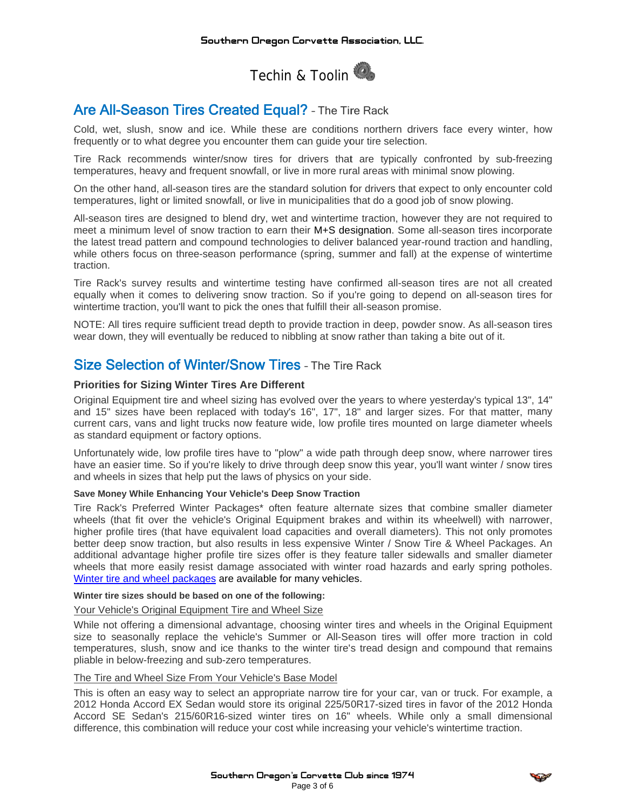

## Are All-Season Tires Created Equal? - The Tire Rack

Cold, wet, slush, snow and ice. While these are conditions northern drivers face every winter, how frequently or to what degree you encounter them can guide your tire selection.

Tire Rack recommends winter/snow tires for drivers that are typically confronted by sub-freezing temperatures, heavy and frequent snowfall, or live in more rural areas with minimal snow plowing.

On the other hand, all-season tires are the standard solution for drivers that expect to only encounter cold temperatures, light or limited snowfall, or live in municipalities that do a good job of snow plowing.

All-season tires are designed to blend dry, wet and wintertime traction, however they are not required to meet a minimum level of snow traction to earn their M+S designation. Some all-season tires incorporate the latest tread pattern and compound technologies to deliver balanced year-round traction and handling, while others focus on three-season performance (spring, summer and fall) at the expense of wintertime traction.

Tire Rack's survey results and wintertime testing have confirmed all-season tires are not all created equally when it comes to delivering snow traction. So if you're going to depend on all-season tires for wintertime traction, you'll want to pick the ones that fulfill their all-season promise.

NOTE: All tires require sufficient tread depth to provide traction in deep, powder snow. As all-season tires wear down, they will eventually be reduced to nibbling at snow rather than taking a bite out of it.

## **Size Selection of Winter/Snow Tires - The Tire Rack**

## **Priorities for Sizing Winter Tires Are Different**

Original Equipment tire and wheel sizing has evolved over the years to where yesterday's typical 13", 14" and 15" sizes have been replaced with today's 16", 17", 18" and larger sizes. For that matter, many current cars, vans and light trucks now feature wide, low profile tires mounted on large diameter wheels as standard equipment or factory options.

Unfortunately wide, low profile tires have to "plow" a wide path through deep snow, where narrower tires have an easier time. So if you're likely to drive through deep snow this year, you'll want winter / snow tires and wheels in sizes that help put the laws of physics on your side.

### Save Money While Enhancing Your Vehicle's Deep Snow Traction

Tire Rack's Preferred Winter Packages\* often feature alternate sizes that combine smaller diameter wheels (that fit over the vehicle's Original Equipment brakes and within its wheelwell) with narrower, higher profile tires (that have equivalent load capacities and overall diameters). This not only promotes better deep snow traction, but also results in less expensive Winter / Snow Tire & Wheel Packages. An additional advantage higher profile tire sizes offer is they feature taller sidewalls and smaller diameter wheels that more easily resist damage associated with winter road hazards and early spring potholes. Winter tire and wheel packages are available for many vehicles.

### Winter tire sizes should be based on one of the following:

## Your Vehicle's Original Equipment Tire and Wheel Size

While not offering a dimensional advantage, choosing winter tires and wheels in the Original Equipment size to seasonally replace the vehicle's Summer or All-Season tires will offer more traction in cold temperatures, slush, snow and ice thanks to the winter tire's tread design and compound that remains pliable in below-freezing and sub-zero temperatures.

### The Tire and Wheel Size From Your Vehicle's Base Model

This is often an easy way to select an appropriate narrow tire for your car, yan or truck. For example, a 2012 Honda Accord EX Sedan would store its original 225/50R17-sized tires in favor of the 2012 Honda Accord SE Sedan's 215/60R16-sized winter tires on 16" wheels. While only a small dimensional difference, this combination will reduce your cost while increasing your vehicle's wintertime traction.